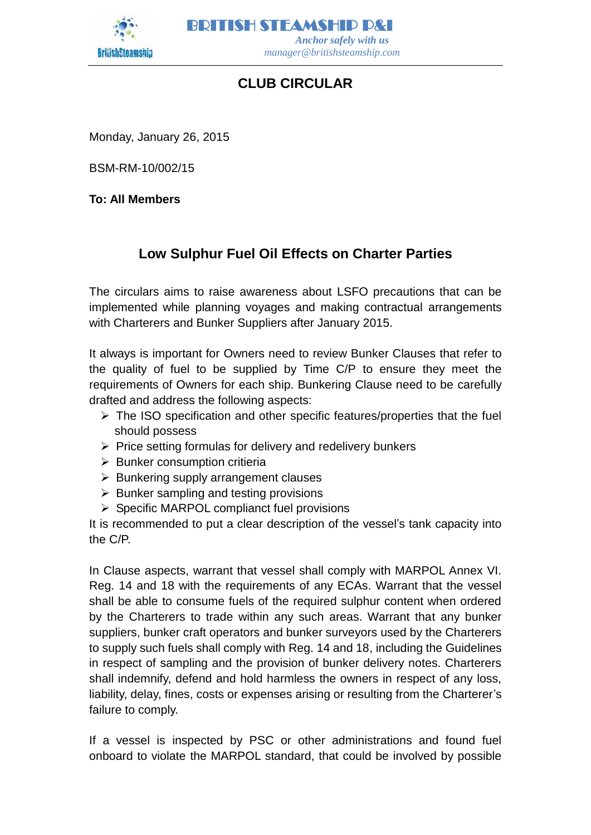

BRITISH STEAMSHIP P&I  *Anchor safely with us manager@britishsteamship.com* 

## **CLUB CIRCULAR**

Monday, January 26, 2015

BSM-RM-10/002/15

**To: All Members**

## **Low Sulphur Fuel Oil Effects on Charter Parties**

The circulars aims to raise awareness about LSFO precautions that can be implemented while planning voyages and making contractual arrangements with Charterers and Bunker Suppliers after January 2015.

It always is important for Owners need to review Bunker Clauses that refer to the quality of fuel to be supplied by Time C/P to ensure they meet the requirements of Owners for each ship. Bunkering Clause need to be carefully drafted and address the following aspects:

- $\triangleright$  The ISO specification and other specific features/properties that the fuel should possess
- $\triangleright$  Price setting formulas for delivery and redelivery bunkers
- $\triangleright$  Bunker consumption critieria
- $\triangleright$  Bunkering supply arrangement clauses
- $\triangleright$  Bunker sampling and testing provisions
- $\triangleright$  Specific MARPOL complianct fuel provisions

It is recommended to put a clear description of the vessel's tank capacity into the C/P.

In Clause aspects, warrant that vessel shall comply with MARPOL Annex VI. Reg. 14 and 18 with the requirements of any ECAs. Warrant that the vessel shall be able to consume fuels of the required sulphur content when ordered by the Charterers to trade within any such areas. Warrant that any bunker suppliers, bunker craft operators and bunker surveyors used by the Charterers to supply such fuels shall comply with Reg. 14 and 18, including the Guidelines in respect of sampling and the provision of bunker delivery notes. Charterers shall indemnify, defend and hold harmless the owners in respect of any loss, liability, delay, fines, costs or expenses arising or resulting from the Charterer's failure to comply.

If a vessel is inspected by PSC or other administrations and found fuel onboard to violate the MARPOL standard, that could be involved by possible